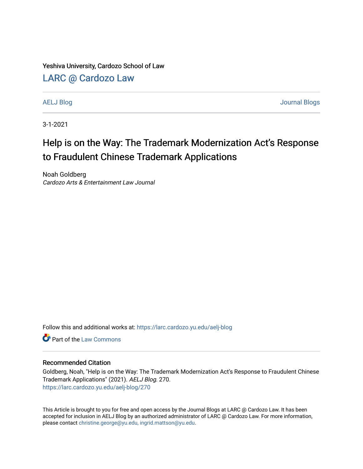Yeshiva University, Cardozo School of Law

## [LARC @ Cardozo Law](https://larc.cardozo.yu.edu/)

[AELJ Blog](https://larc.cardozo.yu.edu/aelj-blog) [Journal Blogs](https://larc.cardozo.yu.edu/journal-blogs) 

3-1-2021

# Help is on the Way: The Trademark Modernization Act's Response to Fraudulent Chinese Trademark Applications

Noah Goldberg Cardozo Arts & Entertainment Law Journal

Follow this and additional works at: [https://larc.cardozo.yu.edu/aelj-blog](https://larc.cardozo.yu.edu/aelj-blog?utm_source=larc.cardozo.yu.edu%2Faelj-blog%2F270&utm_medium=PDF&utm_campaign=PDFCoverPages) 

**C** Part of the [Law Commons](http://network.bepress.com/hgg/discipline/578?utm_source=larc.cardozo.yu.edu%2Faelj-blog%2F270&utm_medium=PDF&utm_campaign=PDFCoverPages)

#### Recommended Citation

Goldberg, Noah, "Help is on the Way: The Trademark Modernization Act's Response to Fraudulent Chinese Trademark Applications" (2021). AELJ Blog. 270. [https://larc.cardozo.yu.edu/aelj-blog/270](https://larc.cardozo.yu.edu/aelj-blog/270?utm_source=larc.cardozo.yu.edu%2Faelj-blog%2F270&utm_medium=PDF&utm_campaign=PDFCoverPages) 

This Article is brought to you for free and open access by the Journal Blogs at LARC @ Cardozo Law. It has been accepted for inclusion in AELJ Blog by an authorized administrator of LARC @ Cardozo Law. For more information, please contact [christine.george@yu.edu, ingrid.mattson@yu.edu.](mailto:christine.george@yu.edu,%20ingrid.mattson@yu.edu)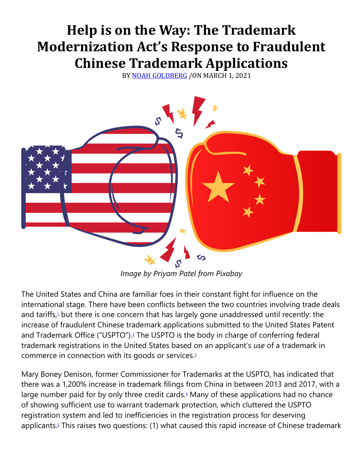# **Help is on the Way: The Trademark Modernization Act's Response to Fraudulent Chinese Trademark Applications**

BY [NOAH GOLDBERG](https://cardozoaelj.com/author/noah-goldberg/) /ON MARCH 1, 2021



*Image by Priyam Patel from Pixabay*

The United States and China are familiar foes in their constant fight for influence on the international stage. There have been conflicts between the two countries involving trade deals and tariffs[,](https://cardozoaelj.com/2021/03/01/help-is-on-the-way-the-trademark-modernization-acts-response-to-fraudulent-chinese-trademark-applications/#easy-footnote-bottom-1-6751) $1$  but there is one concern that has largely gone unaddressed until recently: the increase of fraudulent Chinese trademark applications submitted to the United States Patent and Trademark Office ("USPTO")[.](https://cardozoaelj.com/2021/03/01/help-is-on-the-way-the-trademark-modernization-acts-response-to-fraudulent-chinese-trademark-applications/#easy-footnote-bottom-2-6751)<sup>2</sup> The USPTO is the body in charge of conferring federal trademark registrations in the United States based on an applicant's *use* of a trademark in commerce in connection with its goods or services[.](https://cardozoaelj.com/2021/03/01/help-is-on-the-way-the-trademark-modernization-acts-response-to-fraudulent-chinese-trademark-applications/#easy-footnote-bottom-3-6751)<sup>3</sup>

Mary Boney Denison, former Commissioner for Trademarks at the USPTO, has indicated that there was a 1,200% increase in trademark filings from China in between 2013 and 2017, with a large number paid for by only three credit cards[.](https://cardozoaelj.com/2021/03/01/help-is-on-the-way-the-trademark-modernization-acts-response-to-fraudulent-chinese-trademark-applications/#easy-footnote-bottom-4-6751) $4$  Many of these applications had no chance of showing sufficient use to warrant trademark protection, which cluttered the USPTO registration system and led to inefficiencies in the registration process for deserving applicants[.](https://cardozoaelj.com/2021/03/01/help-is-on-the-way-the-trademark-modernization-acts-response-to-fraudulent-chinese-trademark-applications/#easy-footnote-bottom-5-6751)<sup>5</sup> This raises two questions: (1) what caused this rapid increase of Chinese trademark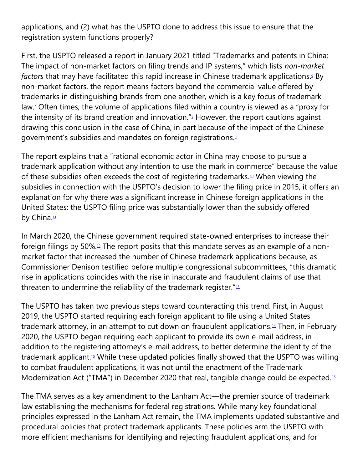applications, and (2) what has the USPTO done to address this issue to ensure that the registration system functions properly?

First, the USPTO released a report in January 2021 titled "Trademarks and patents in China: The impact of non-market factors on filing trends and IP systems," which lists *non-market factors* that may have facilitated this rapid increase in Chinese trademark applications[.](https://cardozoaelj.com/2021/03/01/help-is-on-the-way-the-trademark-modernization-acts-response-to-fraudulent-chinese-trademark-applications/#easy-footnote-bottom-6-6751)<sup>6</sup> By non-market factors, the report means factors beyond the commercial value offered by trademarks in distinguishing brands from one another, which is a key focus of trademark law[.](https://cardozoaelj.com/2021/03/01/help-is-on-the-way-the-trademark-modernization-acts-response-to-fraudulent-chinese-trademark-applications/#easy-footnote-bottom-7-6751)<sup>7</sup> Often times, the volume of applications filed within a country is viewed as a "proxy for the intensity of its brand creation and innovation.["](https://cardozoaelj.com/2021/03/01/help-is-on-the-way-the-trademark-modernization-acts-response-to-fraudulent-chinese-trademark-applications/#easy-footnote-bottom-8-6751) $8$  However, the report cautions against drawing this conclusion in the case of China, in part because of the impact of the Chinese government's subsidies and mandates on foreign registrations[.](https://cardozoaelj.com/2021/03/01/help-is-on-the-way-the-trademark-modernization-acts-response-to-fraudulent-chinese-trademark-applications/#easy-footnote-bottom-9-6751)<sup>9</sup>

The report explains that a "rational economic actor in China may choose to pursue a trademark application without any intention to use the mark in commerce" because the value of these subsidies often exceeds the cost of registering trademarks.<sup>[10](https://cardozoaelj.com/2021/03/01/help-is-on-the-way-the-trademark-modernization-acts-response-to-fraudulent-chinese-trademark-applications/#easy-footnote-bottom-10-6751)</sup> When viewing the subsidies in connection with the USPTO's decision to lower the filing price in 2015, it offers an explanation for why there was a significant increase in Chinese foreign applications in the United States: the USPTO filing price was substantially lower than the subsidy offered by China.<sup>[11](https://cardozoaelj.com/2021/03/01/help-is-on-the-way-the-trademark-modernization-acts-response-to-fraudulent-chinese-trademark-applications/#easy-footnote-bottom-11-6751)</sup>

In March 2020, the Chinese government required state-owned enterprises to increase their foreign filings by 50%.[12](https://cardozoaelj.com/2021/03/01/help-is-on-the-way-the-trademark-modernization-acts-response-to-fraudulent-chinese-trademark-applications/#easy-footnote-bottom-12-6751) The report posits that this mandate serves as an example of a nonmarket factor that increased the number of Chinese trademark applications because, as Commissioner Denison testified before multiple congressional subcommittees, "this dramatic rise in applications coincides with the rise in inaccurate and fraudulent claims of use that threaten to undermine the reliability of the trademark register."<sup>[13](https://cardozoaelj.com/2021/03/01/help-is-on-the-way-the-trademark-modernization-acts-response-to-fraudulent-chinese-trademark-applications/#easy-footnote-bottom-13-6751)</sup>

The USPTO has taken two previous steps toward counteracting this trend. First, in August 2019, the USPTO started requiring each foreign applicant to file using a United States trademark attorney, in an attempt to cut down on fraudulent applications.<sup>[14](https://cardozoaelj.com/2021/03/01/help-is-on-the-way-the-trademark-modernization-acts-response-to-fraudulent-chinese-trademark-applications/#easy-footnote-bottom-14-6751)</sup> Then, in February 2020, the USPTO began requiring each applicant to provide its own e-mail address, in addition to the registering attorney's e-mail address, to better determine the identity of the trademark applicant.<sup>[15](https://cardozoaelj.com/2021/03/01/help-is-on-the-way-the-trademark-modernization-acts-response-to-fraudulent-chinese-trademark-applications/#easy-footnote-bottom-15-6751)</sup> While these updated policies finally showed that the USPTO was willing to combat fraudulent applications, it was not until the enactment of the Trademark Modernization Act ("TMA") in December 2020 that real, tangible change could be expected.<sup>[16](https://cardozoaelj.com/2021/03/01/help-is-on-the-way-the-trademark-modernization-acts-response-to-fraudulent-chinese-trademark-applications/#easy-footnote-bottom-16-6751)</sup>

The TMA serves as a key amendment to the Lanham Act—the premier source of trademark law establishing the mechanisms for federal registrations. While many key foundational principles expressed in the Lanham Act remain, the TMA implements updated substantive and procedural policies that protect trademark applicants. These policies arm the USPTO with more efficient mechanisms for identifying and rejecting fraudulent applications, and for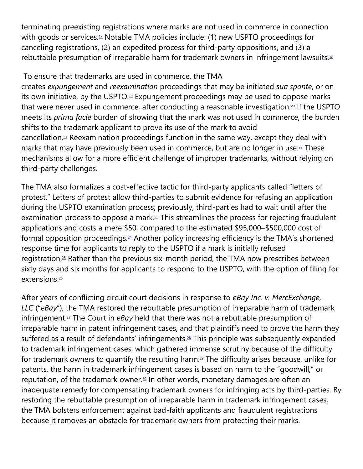terminating preexisting registrations where marks are not used in commerce in connection with goods or services.<sup>[17](https://cardozoaelj.com/2021/03/01/help-is-on-the-way-the-trademark-modernization-acts-response-to-fraudulent-chinese-trademark-applications/#easy-footnote-bottom-17-6751)</sup> Notable TMA policies include: (1) new USPTO proceedings for canceling registrations, (2) an expedited process for third-party oppositions, and (3) a rebuttable presumption of irreparable harm for trademark owners in infringement lawsuits.<sup>[18](https://cardozoaelj.com/2021/03/01/help-is-on-the-way-the-trademark-modernization-acts-response-to-fraudulent-chinese-trademark-applications/#easy-footnote-bottom-18-6751)</sup>

### To ensure that trademarks are used in commerce, the TMA

creates *expungement* and *reexamination* proceedings that may be initiated *sua sponte*, or on its own initiative, by the USPTO.<sup>[19](https://cardozoaelj.com/2021/03/01/help-is-on-the-way-the-trademark-modernization-acts-response-to-fraudulent-chinese-trademark-applications/#easy-footnote-bottom-19-6751)</sup> Expungement proceedings may be used to oppose marks that were never used in commerce, after conducting a reasonable investigation.<sup>[20](https://cardozoaelj.com/2021/03/01/help-is-on-the-way-the-trademark-modernization-acts-response-to-fraudulent-chinese-trademark-applications/#easy-footnote-bottom-20-6751)</sup> If the USPTO meets its *prima facie* burden of showing that the mark was not used in commerce, the burden shifts to the trademark applicant to prove its use of the mark to avoid cancellation.[21](https://cardozoaelj.com/2021/03/01/help-is-on-the-way-the-trademark-modernization-acts-response-to-fraudulent-chinese-trademark-applications/#easy-footnote-bottom-21-6751) Reexamination proceedings function in the same way, except they deal with marks that may have previously been used in commerce, but are no longer in use.<sup>[22](https://cardozoaelj.com/2021/03/01/help-is-on-the-way-the-trademark-modernization-acts-response-to-fraudulent-chinese-trademark-applications/#easy-footnote-bottom-22-6751)</sup> These mechanisms allow for a more efficient challenge of improper trademarks, without relying on third-party challenges.

The TMA also formalizes a cost-effective tactic for third-party applicants called "letters of protest." Letters of protest allow third-parties to submit evidence for refusing an application during the USPTO examination process; previously, third-parties had to wait until after the examination process to oppose a mark.<sup>[23](https://cardozoaelj.com/2021/03/01/help-is-on-the-way-the-trademark-modernization-acts-response-to-fraudulent-chinese-trademark-applications/#easy-footnote-bottom-23-6751)</sup> This streamlines the process for rejecting fraudulent applications and costs a mere \$50, compared to the estimated \$95,000–\$500,000 cost of formal opposition proceedings.[24](https://cardozoaelj.com/2021/03/01/help-is-on-the-way-the-trademark-modernization-acts-response-to-fraudulent-chinese-trademark-applications/#easy-footnote-bottom-24-6751) Another policy increasing efficiency is the TMA's shortened response time for applicants to reply to the USPTO if a mark is initially refused registration.<sup>[25](https://cardozoaelj.com/2021/03/01/help-is-on-the-way-the-trademark-modernization-acts-response-to-fraudulent-chinese-trademark-applications/#easy-footnote-bottom-25-6751)</sup> Rather than the previous six-month period, the TMA now prescribes between sixty days and six months for applicants to respond to the USPTO, with the option of filing for extensions.<sup>[26](https://cardozoaelj.com/2021/03/01/help-is-on-the-way-the-trademark-modernization-acts-response-to-fraudulent-chinese-trademark-applications/#easy-footnote-bottom-26-6751)</sup>

After years of conflicting circuit court decisions in response to *eBay Inc. v. MercExchange, LLC* ("*eBay*"), the TMA restored the rebuttable presumption of irreparable harm of trademark infringement.[27](https://cardozoaelj.com/2021/03/01/help-is-on-the-way-the-trademark-modernization-acts-response-to-fraudulent-chinese-trademark-applications/#easy-footnote-bottom-27-6751) The Court in *eBay* held that there was not a rebuttable presumption of irreparable harm in patent infringement cases, and that plaintiffs need to prove the harm they suffered as a result of defendants' infringements.<sup>[28](https://cardozoaelj.com/2021/03/01/help-is-on-the-way-the-trademark-modernization-acts-response-to-fraudulent-chinese-trademark-applications/#easy-footnote-bottom-28-6751)</sup> This principle was subsequently expanded to trademark infringement cases, which gathered immense scrutiny because of the difficulty for trademark owners to quantify the resulting harm.[29](https://cardozoaelj.com/2021/03/01/help-is-on-the-way-the-trademark-modernization-acts-response-to-fraudulent-chinese-trademark-applications/#easy-footnote-bottom-29-6751) The difficulty arises because, unlike for patents, the harm in trademark infringement cases is based on harm to the "goodwill," or reputation, of the trademark owner.<sup>[30](https://cardozoaelj.com/2021/03/01/help-is-on-the-way-the-trademark-modernization-acts-response-to-fraudulent-chinese-trademark-applications/#easy-footnote-bottom-30-6751)</sup> In other words, monetary damages are often an inadequate remedy for compensating trademark owners for infringing acts by third-parties. By restoring the rebuttable presumption of irreparable harm in trademark infringement cases, the TMA bolsters enforcement against bad-faith applicants and fraudulent registrations because it removes an obstacle for trademark owners from protecting their marks.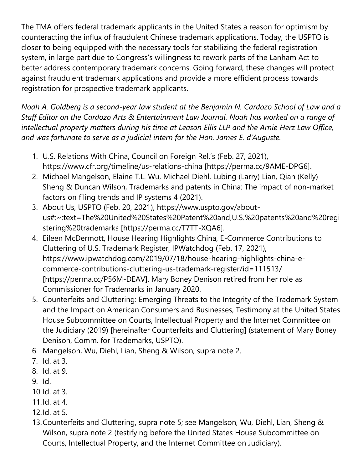The TMA offers federal trademark applicants in the United States a reason for optimism by counteracting the influx of fraudulent Chinese trademark applications. Today, the USPTO is closer to being equipped with the necessary tools for stabilizing the federal registration system, in large part due to Congress's willingness to rework parts of the Lanham Act to better address contemporary trademark concerns. Going forward, these changes will protect against fraudulent trademark applications and provide a more efficient process towards registration for prospective trademark applicants.

*Noah A. Goldberg is a second-year law student at the Benjamin N. Cardozo School of Law and a Staff Editor on the Cardozo Arts & Entertainment Law Journal. Noah has worked on a range of intellectual property matters during his time at Leason Ellis LLP and the Arnie Herz Law Office, and was fortunate to serve as a judicial intern for the Hon. James E. d'Auguste.*

- 1. U.S. Relations With China, Council on Foreign Rel.'s (Feb. 27, 2021), https://www.cfr.org/timeline/us-relations-china [https://perma.cc/9AME-DPG6].
- 2. Michael Mangelson, Elaine T.L. Wu, Michael Diehl, Lubing (Larry) Lian, Qian (Kelly) Sheng & Duncan Wilson, Trademarks and patents in China: The impact of non-market factors on filing trends and IP systems 4 (2021).
- 3. About Us, USPTO (Feb. 20, 2021), https://www.uspto.gov/aboutus#:~:text=The%20United%20States%20Patent%20and,U.S.%20patents%20and%20regi stering%20trademarks [https://perma.cc/T7TT-XQA6].
- 4. Eileen McDermott, House Hearing Highlights China, E-Commerce Contributions to Cluttering of U.S. Trademark Register, IPWatchdog (Feb. 17, 2021), https://www.ipwatchdog.com/2019/07/18/house-hearing-highlights-china-ecommerce-contributions-cluttering-us-trademark-register/id=111513/ [https://perma.cc/P56M-DEAV]. Mary Boney Denison retired from her role as Commissioner for Trademarks in January 2020.
- 5. Counterfeits and Cluttering: Emerging Threats to the Integrity of the Trademark System and the Impact on American Consumers and Businesses, Testimony at the United States House Subcommittee on Courts, Intellectual Property and the Internet Committee on the Judiciary (2019) [hereinafter Counterfeits and Cluttering] (statement of Mary Boney Denison, Comm. for Trademarks, USPTO).
- 6. Mangelson, Wu, Diehl, Lian, Sheng & Wilson, supra note 2.
- 7. Id. at 3.
- 8. Id. at 9.
- 9. Id.
- 10.Id. at 3.
- 11.Id. at 4.
- 12.Id. at 5.
- 13.Counterfeits and Cluttering, supra note 5; see Mangelson, Wu, Diehl, Lian, Sheng & Wilson, supra note 2 (testifying before the United States House Subcommittee on Courts, Intellectual Property, and the Internet Committee on Judiciary).